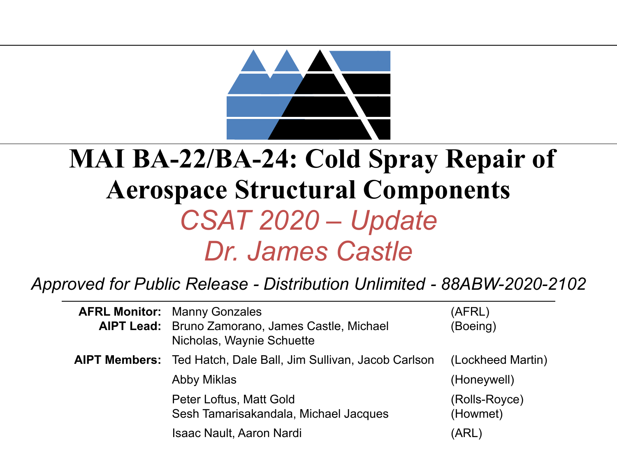

### **MAI BA-22/BA-24: Cold Spray Repair of Aerospace Structural Components** *CSAT 2020 – Update Dr. James Castle*

#### *Approved for Public Release - Distribution Unlimited - 88ABW-2020-2102*

| <b>AFRL Monitor: Manny Gonzales</b><br><b>AIPT Lead:</b> Bruno Zamorano, James Castle, Michael<br>Nicholas, Waynie Schuette | (AFRL)<br>(Boeing)        |
|-----------------------------------------------------------------------------------------------------------------------------|---------------------------|
| <b>AIPT Members:</b> Ted Hatch, Dale Ball, Jim Sullivan, Jacob Carlson                                                      | (Lockheed Martin)         |
| Abby Miklas                                                                                                                 | (Honeywell)               |
| Peter Loftus, Matt Gold<br>Sesh Tamarisakandala, Michael Jacques                                                            | (Rolls-Royce)<br>(Howmet) |
| <b>Isaac Nault, Aaron Nardi</b>                                                                                             | (ARL)                     |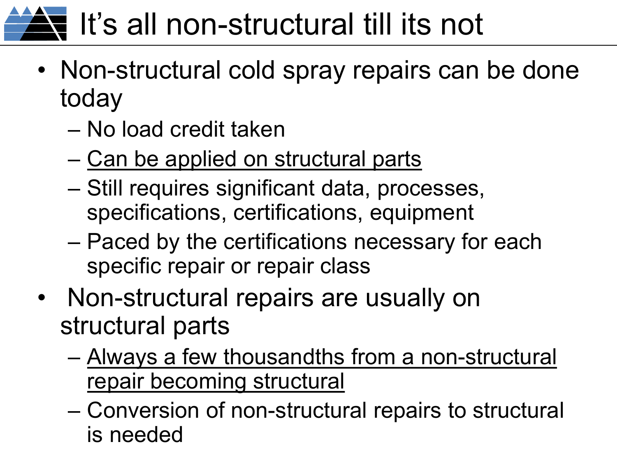# $\overline{\mathbf{S}}$  It's all non-structural till its not

- Non-structural cold spray repairs can be done today
	- No load credit taken
	- Can be applied on structural parts
	- Still requires significant data, processes, specifications, certifications, equipment
	- Paced by the certifications necessary for each specific repair or repair class
- Non-structural repairs are usually on structural parts
	- Always a few thousandths from a non-structural repair becoming structural
	- Conversion of non-structural repairs to structural is needed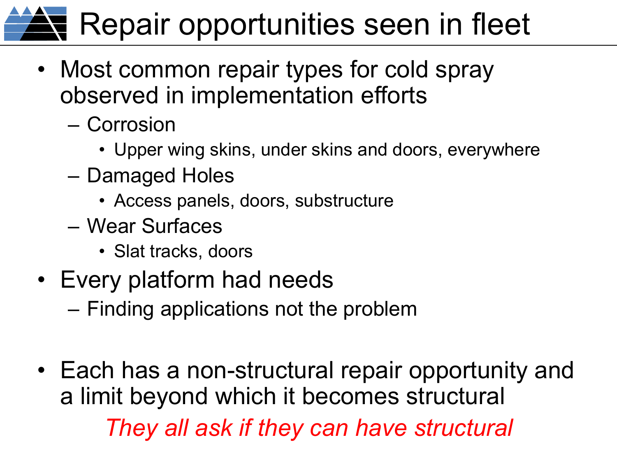# **Repair opportunities seen in fleet**

- Most common repair types for cold spray observed in implementation efforts
	- Corrosion
		- Upper wing skins, under skins and doors, everywhere
	- Damaged Holes
		- Access panels, doors, substructure
	- Wear Surfaces
		- Slat tracks, doors
- Every platform had needs
	- Finding applications not the problem
- Each has a non-structural repair opportunity and a limit beyond which it becomes structural *They all ask if they can have structural*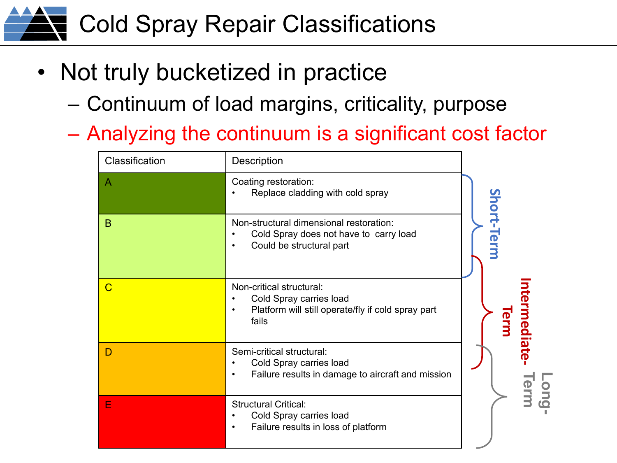### Cold Spray Repair Classifications

- Not truly bucketized in practice
	- Continuum of load margins, criticality, purpose
	- Analyzing the continuum is a significant cost factor

| Classification | <b>Description</b>                                                                                                              |                    |
|----------------|---------------------------------------------------------------------------------------------------------------------------------|--------------------|
| A              | Coating restoration:<br>Replace cladding with cold spray                                                                        |                    |
| B              | Non-structural dimensional restoration:<br>Cold Spray does not have to carry load<br>Could be structural part                   | Short-Term         |
| $\overline{C}$ | Non-critical structural:<br>Cold Spray carries load<br>Platform will still operate/fly if cold spray part<br>$\bullet$<br>fails | termediate<br>Term |
| D              | Semi-critical structural:<br>Cold Spray carries load<br>Failure results in damage to aircraft and mission<br>٠                  | <b>Sup</b>         |
| E              | <b>Structural Critical:</b><br>Cold Spray carries load<br>Failure results in loss of platform<br>$\bullet$                      |                    |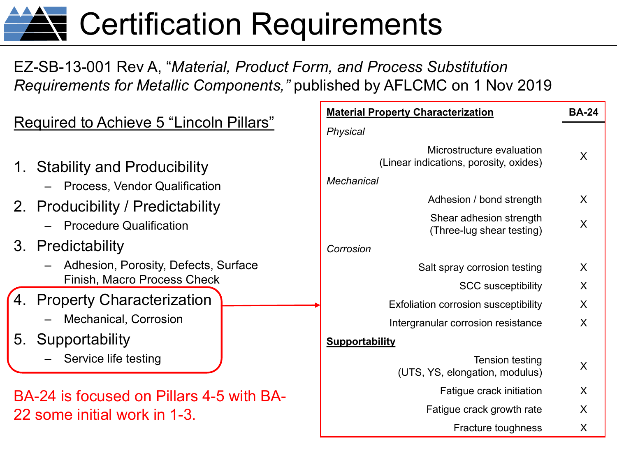## **AV** Certification Requirements

#### EZ-SB-13-001 Rev A, "*Material, Product Form, and Process Substitution Requirements for Metallic Components,"* published by AFLCMC on 1 Nov 2019

|                                                                   | <b>Material Property Characterization</b>                                                | <b>BA-24</b> |
|-------------------------------------------------------------------|------------------------------------------------------------------------------------------|--------------|
| Required to Achieve 5 "Lincoln Pillars"                           | Physical                                                                                 |              |
| 1. Stability and Producibility<br>- Process, Vendor Qualification | Microstructure evaluation<br>(Linear indications, porosity, oxides)<br><b>Mechanical</b> | X            |
| 2. Producibility / Predictability                                 | Adhesion / bond strength                                                                 | X            |
| <b>Procedure Qualification</b>                                    | Shear adhesion strength<br>(Three-lug shear testing)                                     | X            |
| 3. Predictability                                                 | Corrosion                                                                                |              |
| - Adhesion, Porosity, Defects, Surface                            | Salt spray corrosion testing                                                             | X            |
| <b>Finish, Macro Process Check</b>                                | <b>SCC susceptibility</b>                                                                | X            |
| 4. Property Characterization                                      | <b>Exfoliation corrosion susceptibility</b>                                              | X            |
| <b>Mechanical, Corrosion</b>                                      | Intergranular corrosion resistance                                                       | X            |
| 5.<br>Supportability                                              | <b>Supportability</b>                                                                    |              |
| Service life testing                                              | Tension testing<br>(UTS, YS, elongation, modulus)                                        | Χ            |
| BA-24 is focused on Pillars 4-5 with BA-                          | Fatigue crack initiation                                                                 | X            |
| 22 some initial work in 1-3.                                      | Fatigue crack growth rate                                                                | X            |
|                                                                   | Fracture toughness                                                                       | X            |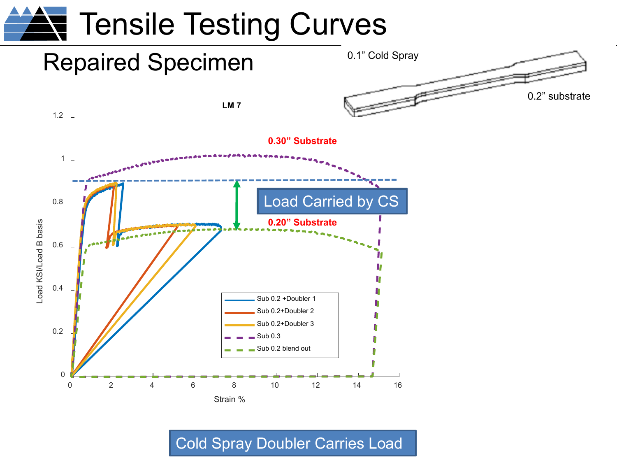

Cold Spray Doubler Carries Load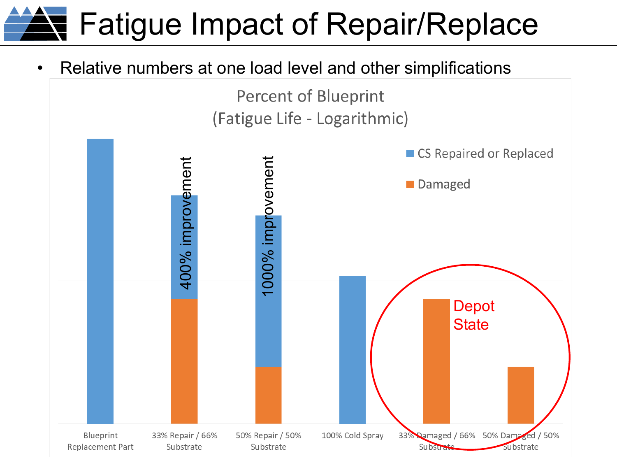## **N** Fatigue Impact of Repair/Replace

• Relative numbers at one load level and other simplifications

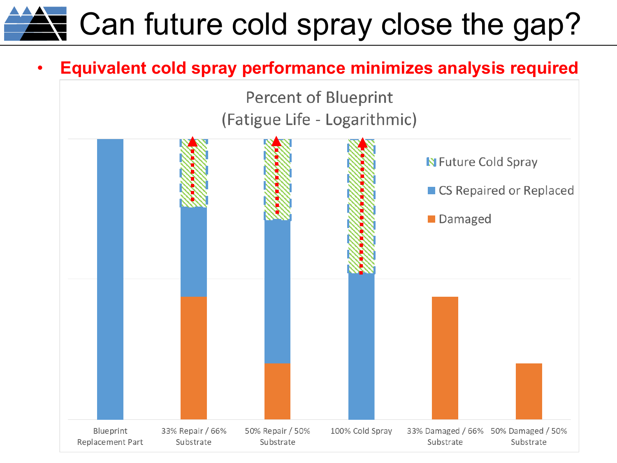# $\blacktriangle$  Can future cold spray close the gap?

#### • **Equivalent cold spray performance minimizes analysis required**